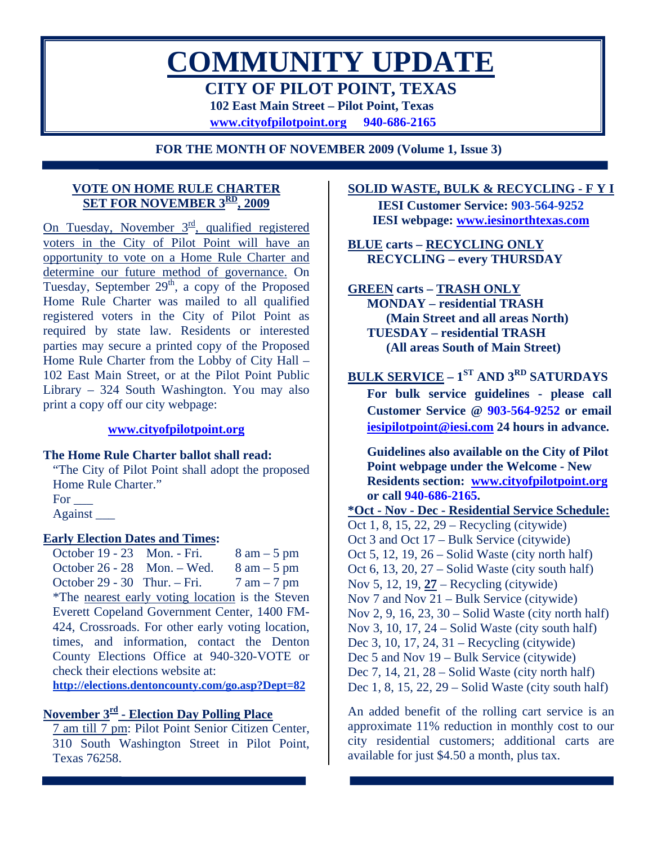# **COMMUNITY UPDATE CITY OF PILOT POINT, TEXAS 102 East Main Street – Pilot Point, Texas [www.cityofpilotpoint.org](http://www.cityofpilotpoint.org/) 940-686-2165**

**FOR THE MONTH OF NOVEMBER 2009 (Volume 1, Issue 3)** 

# **VOTE ON HOME RULE CHARTER SET FOR NOVEMBER 3RD, 2009**

On Tuesday, November  $3^{\text{rd}}$ , qualified registered voters in the City of Pilot Point will have an opportunity to vote on a Home Rule Charter and determine our future method of governance. On Tuesday, September  $29<sup>th</sup>$ , a copy of the Proposed Home Rule Charter was mailed to all qualified registered voters in the City of Pilot Point as required by state law. Residents or interested parties may secure a printed copy of the Proposed Home Rule Charter from the Lobby of City Hall – 102 East Main Street, or at the Pilot Point Public Library – 324 South Washington. You may also print a copy off our city webpage:

# **[www.cityofpilotpoint.org](http://www.cityofpilotpoint.org/)**

# **The Home Rule Charter ballot shall read:**

"The City of Pilot Point shall adopt the proposed Home Rule Charter." For \_\_\_

Against \_\_\_

# **Early Election Dates and Times:**

October 19 - 23 Mon. - Fri.  $8 \text{ am} - 5 \text{ pm}$ October 26 - 28 Mon. – Wed.  $8 \text{ am} - 5 \text{ pm}$ October 29 - 30 Thur. – Fri.  $7 \text{ am} - 7 \text{ pm}$ \*The nearest early voting location is the Steven Everett Copeland Government Center, 1400 FM-424, Crossroads. For other early voting location, times, and information, contact the Denton County Elections Office at 940-320-VOTE or check their elections website at: **http://elections.dentoncounty.com/go.asp?Dept=82**

# **November 3rd - Election Day Polling Place**

7 am till 7 pm: Pilot Point Senior Citizen Center, 310 South Washington Street in Pilot Point, Texas 76258.

**SOLID WASTE, BULK & RECYCLING - F Y I**

**IESI Customer Service: 903-564-9252 IESI webpage: [www.iesinorthtexas.com](http://www.iesinorthtexas.com/)**

**BLUE carts – RECYCLING ONLY RECYCLING – every THURSDAY** 

**GREEN carts – TRASH ONLY MONDAY – residential TRASH (Main Street and all areas North) TUESDAY – residential TRASH (All areas South of Main Street)** 

**BULK SERVICE – 1<sup>ST</sup> AND 3<sup>RD</sup> SATURDAYS For bulk service guidelines - please call Customer Service @ 903-564-9252 or email [iesipilotpoint@iesi.com](mailto:iesipilotpoint@iesi.com) 24 hours in advance.**

**Guidelines also available on the City of Pilot Point webpage under the Welcome - New Residents section: [www.cityofpilotpoint.org](http://www.cityofpilotpoint.org/) or call 940-686-2165.** 

**\*Oct - Nov - Dec - Residential Service Schedule:** Oct 1, 8, 15, 22, 29 – Recycling (citywide) Oct 3 and Oct 17 – Bulk Service (citywide) Oct 5, 12, 19, 26 – Solid Waste (city north half) Oct 6, 13, 20, 27 – Solid Waste (city south half) Nov 5, 12, 19, **27** – Recycling (citywide) Nov 7 and Nov 21 – Bulk Service (citywide) Nov 2, 9, 16, 23, 30 – Solid Waste (city north half) Nov 3, 10, 17, 24 – Solid Waste (city south half) Dec 3, 10, 17, 24, 31 – Recycling (citywide) Dec 5 and Nov 19 – Bulk Service (citywide) Dec 7, 14, 21, 28 – Solid Waste (city north half) Dec 1, 8, 15, 22, 29 – Solid Waste (city south half)

An added benefit of the rolling cart service is an approximate 11% reduction in monthly cost to our city residential customers; additional carts are available for just \$4.50 a month, plus tax.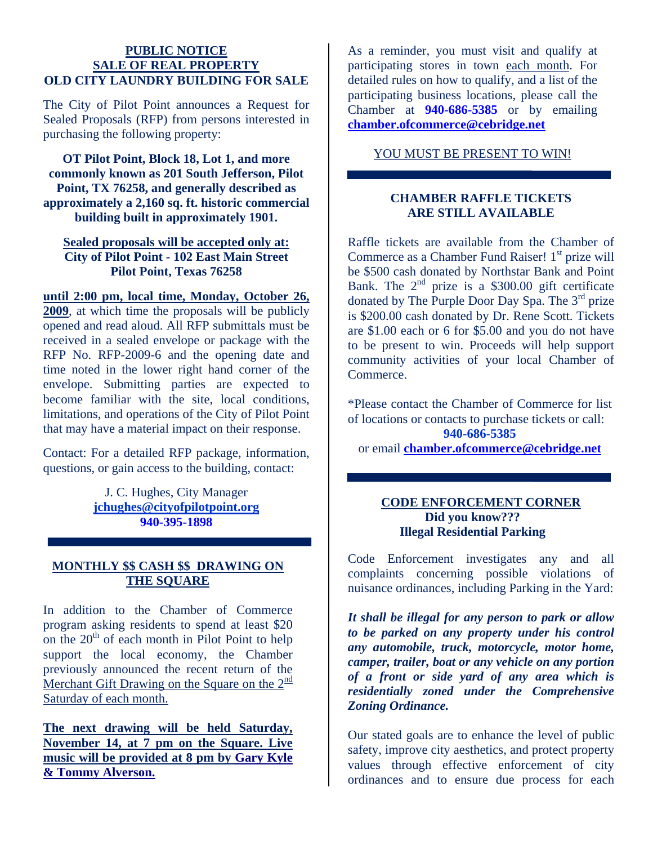#### **PUBLIC NOTICE SALE OF REAL PROPERTY OLD CITY LAUNDRY BUILDING FOR SALE**

The City of Pilot Point announces a Request for Sealed Proposals (RFP) from persons interested in purchasing the following property:

**OT Pilot Point, Block 18, Lot 1, and more commonly known as 201 South Jefferson, Pilot Point, TX 76258, and generally described as approximately a 2,160 sq. ft. historic commercial building built in approximately 1901.** 

# **Sealed proposals will be accepted only at: City of Pilot Point - 102 East Main Street Pilot Point, Texas 76258**

**until 2:00 pm, local time, Monday, October 26, 2009**, at which time the proposals will be publicly opened and read aloud. All RFP submittals must be received in a sealed envelope or package with the RFP No. RFP-2009-6 and the opening date and time noted in the lower right hand corner of the envelope. Submitting parties are expected to become familiar with the site, local conditions, limitations, and operations of the City of Pilot Point that may have a material impact on their response.

Contact: For a detailed RFP package, information, questions, or gain access to the building, contact:

> J. C. Hughes, City Manager **[jchughes@cityofpilotpoint.org](mailto:jchughes@cityofpilotpoint.org) 940-395-1898**

# **MONTHLY \$\$ CASH \$\$ DRAWING ON THE SQUARE**

In addition to the Chamber of Commerce program asking residents to spend at least \$20 on the  $20<sup>th</sup>$  of each month in Pilot Point to help support the local economy, the Chamber previously announced the recent return of the Merchant Gift Drawing on the Square on the  $2<sup>nd</sup>$ Saturday of each month.

**The next drawing will be held Saturday, November 14, at 7 pm on the Square. Live music will be provided at 8 pm by Gary Kyle & Tommy Alverson.**

As a reminder, you must visit and qualify at participating stores in town each month. For detailed rules on how to qualify, and a list of the participating business locations, please call the Chamber at **940-686-5385** or by emailing **[chamber.ofcommerce@cebridge.net](mailto:chamber.ofcommerce@cebridge.net)**

YOU MUST BE PRESENT TO WIN!

# **CHAMBER RAFFLE TICKETS ARE STILL AVAILABLE**

Raffle tickets are available from the Chamber of Commerce as a Chamber Fund Raiser!  $1<sup>st</sup>$  prize will be \$500 cash donated by Northstar Bank and Point Bank. The  $2<sup>nd</sup>$  prize is a \$300.00 gift certificate donated by The Purple Door Day Spa. The 3rd prize is \$200.00 cash donated by Dr. Rene Scott. Tickets are \$1.00 each or 6 for \$5.00 and you do not have to be present to win. Proceeds will help support community activities of your local Chamber of Commerce.

\*Please contact the Chamber of Commerce for list of locations or contacts to purchase tickets or call: **940-686-5385**  or email **[chamber.ofcommerce@cebridge.net](mailto:chamber.ofcommerce@cebridge.net)**

# **CODE ENFORCEMENT CORNER Did you know??? Illegal Residential Parking**

Code Enforcement investigates any and all complaints concerning possible violations of nuisance ordinances, including Parking in the Yard:

*It shall be illegal for any person to park or allow to be parked on any property under his control any automobile, truck, motorcycle, motor home, camper, trailer, boat or any vehicle on any portion of a front or side yard of any area which is residentially zoned under the Comprehensive Zoning Ordinance.* 

Our stated goals are to enhance the level of public safety, improve city aesthetics, and protect property values through effective enforcement of city ordinances and to ensure due process for each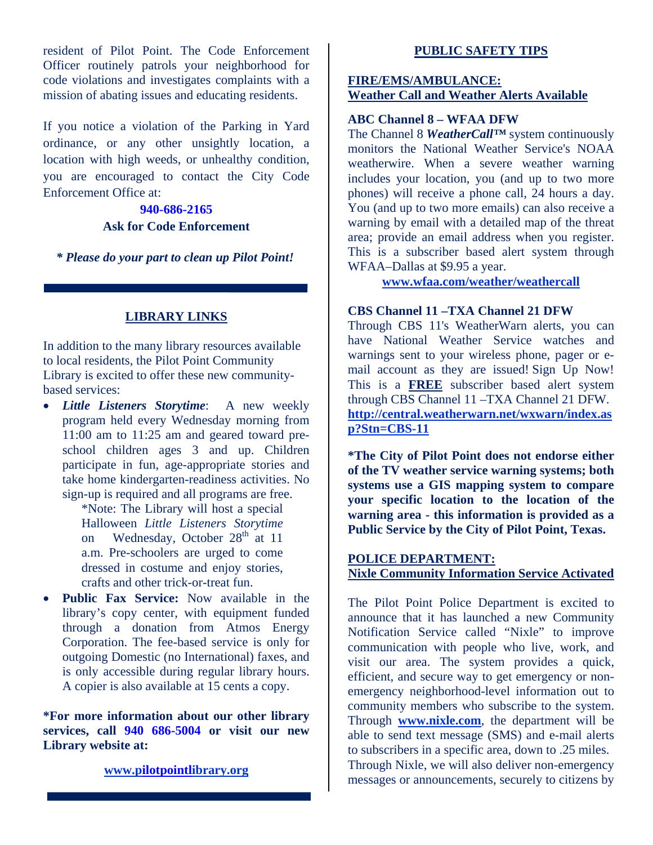resident of Pilot Point. The Code Enforcement Officer routinely patrols your neighborhood for code violations and investigates complaints with a mission of abating issues and educating residents.

If you notice a violation of the Parking in Yard ordinance, or any other unsightly location, a location with high weeds, or unhealthy condition, you are encouraged to contact the City Code Enforcement Office at:

# **940-686-2165 Ask for Code Enforcement**

*\* Please do your part to clean up Pilot Point!* 

# **LIBRARY LINKS**

In addition to the many library resources available to local residents, the Pilot Point Community Library is excited to offer these new communitybased services:

• *Little Listeners Storytime*: A new weekly program held every Wednesday morning from 11:00 am to 11:25 am and geared toward preschool children ages 3 and up. Children participate in fun, age-appropriate stories and take home kindergarten-readiness activities. No sign-up is required and all programs are free.

> \*Note: The Library will host a special Halloween *Little Listeners Storytime* on Wednesday, October 28<sup>th</sup> at 11 a.m. Pre-schoolers are urged to come dressed in costume and enjoy stories, crafts and other trick-or-treat fun.

• **Public Fax Service:** Now available in the library's copy center, with equipment funded through a donation from Atmos Energy Corporation. The fee-based service is only for outgoing Domestic (no International) faxes, and is only accessible during regular library hours. A copier is also available at 15 cents a copy.

**\*For more information about our other library services, call 940 686-5004 or visit our new Library website at:** 

# **[www.pilotpointlibrary.org](http://www.pilotpointlibrary.org/)**

#### **PUBLIC SAFETY TIPS**

### **FIRE/EMS/AMBULANCE: Weather Call and Weather Alerts Available**

# **ABC Channel 8 – WFAA DFW**

The Channel 8 *WeatherCall™* system continuously monitors the National Weather Service's NOAA weatherwire. When a severe weather warning includes your location, you (and up to two more phones) will receive a phone call, 24 hours a day. You (and up to two more emails) can also receive a warning by email with a detailed map of the threat area; provide an email address when you register. This is a subscriber based alert system through WFAA–Dallas at \$9.95 a year.

**[www.wfaa.com/weather/weathercall](http://www.wfaa.com/weather/weathercall)**

# **CBS Channel 11 –TXA Channel 21 DFW**

Through CBS 11's WeatherWarn alerts, you can have National Weather Service watches and warnings sent to your wireless phone, pager or email account as they are issued! [Sign Up Now!](http://central.weatherwarn.net/wxwarn/index.asp?Stn=CBS-11) This is a **FREE** subscriber based alert system through CBS Channel 11 –TXA Channel 21 DFW. **http://central.weatherwarn.net/wxwarn/index.as p?Stn=CBS-11**

**\*The City of Pilot Point does not endorse either of the TV weather service warning systems; both systems use a GIS mapping system to compare your specific location to the location of the warning area - this information is provided as a Public Service by the City of Pilot Point, Texas.** 

# **POLICE DEPARTMENT: Nixle Community Information Service Activated**

The Pilot Point Police Department is excited to announce that it has launched a new Community Notification Service called "Nixle" to improve communication with people who live, work, and visit our area. The system provides a quick, efficient, and secure way to get emergency or nonemergency neighborhood-level information out to community members who subscribe to the system. Through **[www.nixle.com](http://www.nixle.com/)**, the department will be able to send text message (SMS) and e-mail alerts to subscribers in a specific area, down to .25 miles. Through Nixle, we will also deliver non-emergency messages or announcements, securely to citizens by